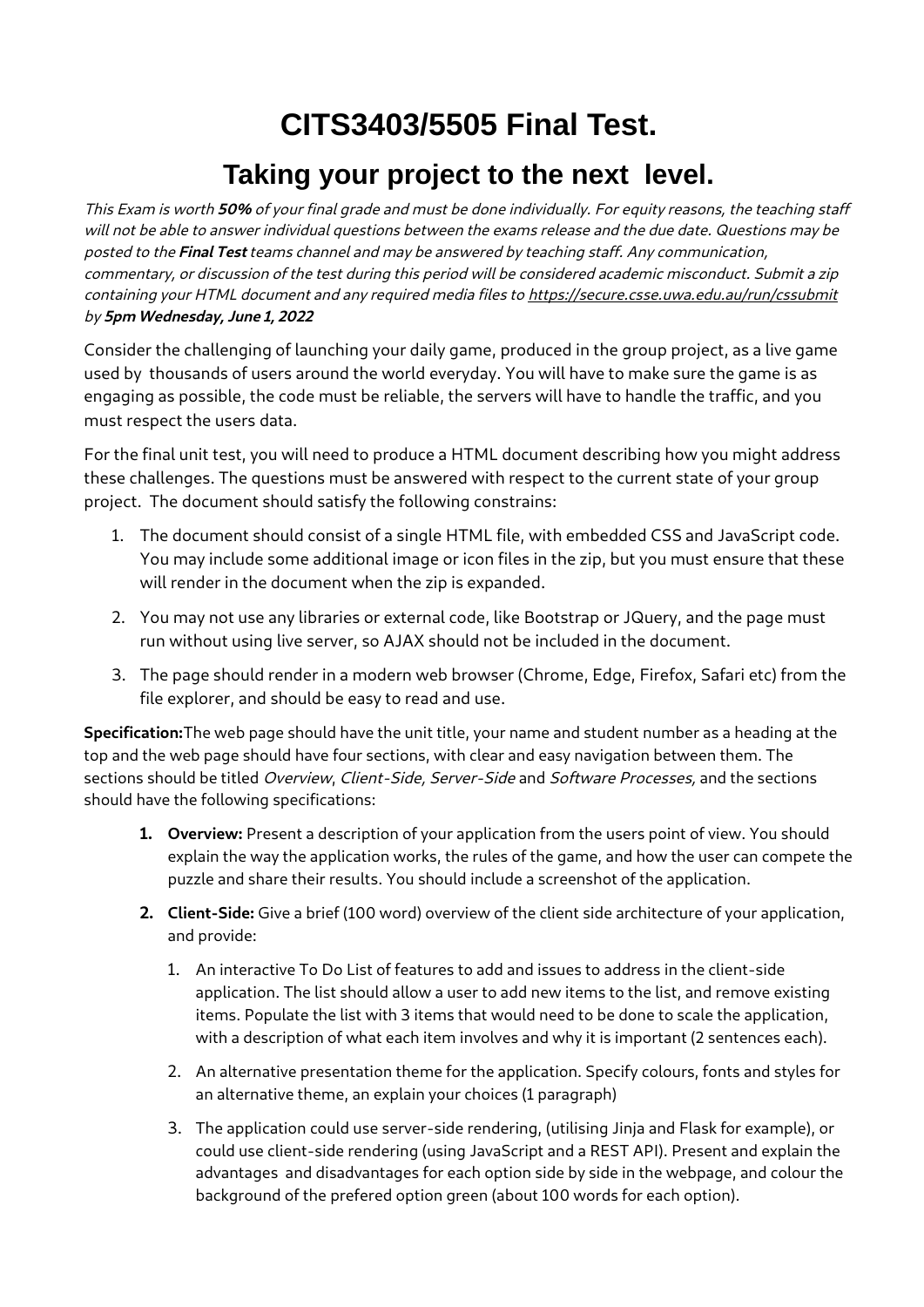## **CITS3403/5505 Final Test.**

## **Taking your project to the next level.**

This Exam is worth **50%** of your final grade and must be done individually. For equity reasons, the teaching staff will not be able to answer individual questions between the exams release and the due date. Questions may be posted to the **Final Test** teams channel and may be answered by teaching staff. Any communication, commentary, or discussion of the test during this period will be considered academic misconduct. Submit a zip containing your HTML document and any required media files to<https://secure.csse.uwa.edu.au/run/cssubmit> by **5pm Wednesday, June 1, 2022**

Consider the challenging of launching your daily game, produced in the group project, as a live game used by thousands of users around the world everyday. You will have to make sure the game is as engaging as possible, the code must be reliable, the servers will have to handle the traffic, and you must respect the users data.

For the final unit test, you will need to produce a HTML document describing how you might address these challenges. The questions must be answered with respect to the current state of your group project. The document should satisfy the following constrains:

- 1. The document should consist of a single HTML file, with embedded CSS and JavaScript code. You may include some additional image or icon files in the zip, but you must ensure that these will render in the document when the zip is expanded.
- 2. You may not use any libraries or external code, like Bootstrap or JQuery, and the page must run without using live server, so AJAX should not be included in the document.
- 3. The page should render in a modern web browser (Chrome, Edge, Firefox, Safari etc) from the file explorer, and should be easy to read and use.

**Specification:**The web page should have the unit title, your name and student number as a heading at the top and the web page should have four sections, with clear and easy navigation between them. The sections should be titled Overview, Client-Side, Server-Side and Software Processes, and the sections should have the following specifications:

- **1. Overview:** Present a description of your application from the users point of view. You should explain the way the application works, the rules of the game, and how the user can compete the puzzle and share their results. You should include a screenshot of the application.
- **2. Client-Side:** Give a brief (100 word) overview of the client side architecture of your application, and provide:
	- 1. An interactive To Do List of features to add and issues to address in the client-side application. The list should allow a user to add new items to the list, and remove existing items. Populate the list with 3 items that would need to be done to scale the application, with a description of what each item involves and why it is important (2 sentences each).
	- 2. An alternative presentation theme for the application. Specify colours, fonts and styles for an alternative theme, an explain your choices (1 paragraph)
	- 3. The application could use server-side rendering, (utilising Jinja and Flask for example), or could use client-side rendering (using JavaScript and a REST API). Present and explain the advantages and disadvantages for each option side by side in the webpage, and colour the background of the prefered option green (about 100 words for each option).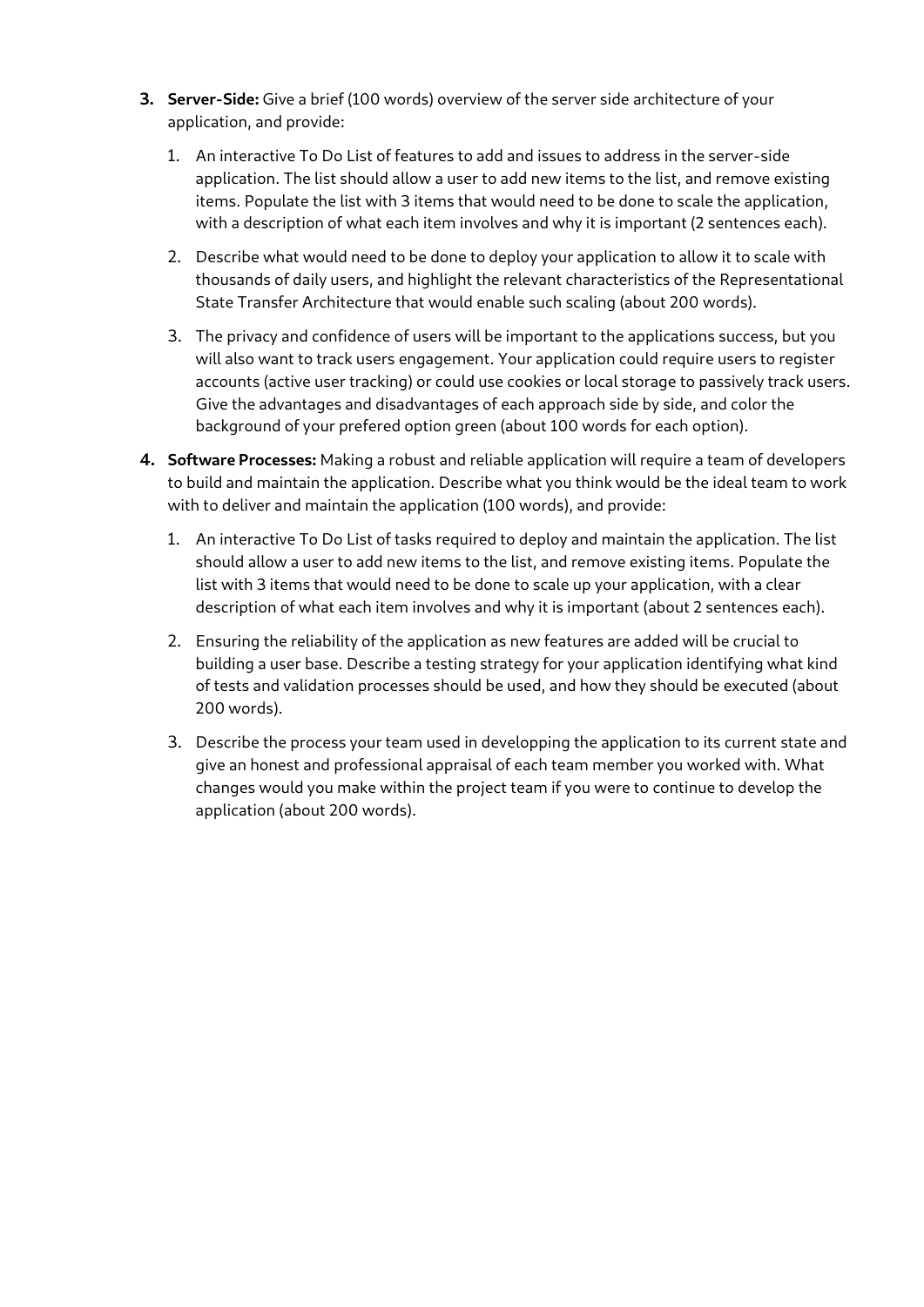- **3. Server-Side:** Give a brief (100 words) overview of the server side architecture of your application, and provide:
	- 1. An interactive To Do List of features to add and issues to address in the server-side application. The list should allow a user to add new items to the list, and remove existing items. Populate the list with 3 items that would need to be done to scale the application, with a description of what each item involves and why it is important (2 sentences each).
	- 2. Describe what would need to be done to deploy your application to allow it to scale with thousands of daily users, and highlight the relevant characteristics of the Representational State Transfer Architecture that would enable such scaling (about 200 words).
	- 3. The privacy and confidence of users will be important to the applications success, but you will also want to track users engagement. Your application could require users to register accounts (active user tracking) or could use cookies or local storage to passively track users. Give the advantages and disadvantages of each approach side by side, and color the background of your prefered option green (about 100 words for each option).
- **4. Software Processes:** Making a robust and reliable application will require a team of developers to build and maintain the application. Describe what you think would be the ideal team to work with to deliver and maintain the application (100 words), and provide:
	- 1. An interactive To Do List of tasks required to deploy and maintain the application. The list should allow a user to add new items to the list, and remove existing items. Populate the list with 3 items that would need to be done to scale up your application, with a clear description of what each item involves and why it is important (about 2 sentences each).
	- 2. Ensuring the reliability of the application as new features are added will be crucial to building a user base. Describe a testing strategy for your application identifying what kind of tests and validation processes should be used, and how they should be executed (about 200 words).
	- 3. Describe the process your team used in developping the application to its current state and give an honest and professional appraisal of each team member you worked with. What changes would you make within the project team if you were to continue to develop the application (about 200 words).